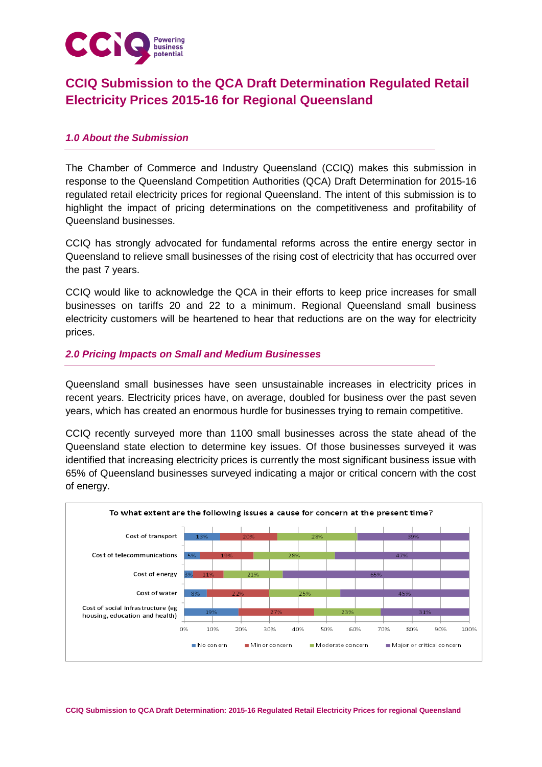

# **CCIQ Submission to the QCA Draft Determination Regulated Retail Electricity Prices 2015-16 for Regional Queensland**

## *1.0 About the Submission*

The Chamber of Commerce and Industry Queensland (CCIQ) makes this submission in response to the Queensland Competition Authorities (QCA) Draft Determination for 2015-16 regulated retail electricity prices for regional Queensland. The intent of this submission is to highlight the impact of pricing determinations on the competitiveness and profitability of Queensland businesses.

CCIQ has strongly advocated for fundamental reforms across the entire energy sector in Queensland to relieve small businesses of the rising cost of electricity that has occurred over the past 7 years.

CCIQ would like to acknowledge the QCA in their efforts to keep price increases for small businesses on tariffs 20 and 22 to a minimum. Regional Queensland small business electricity customers will be heartened to hear that reductions are on the way for electricity prices.

### *2.0 Pricing Impacts on Small and Medium Businesses*

Queensland small businesses have seen unsustainable increases in electricity prices in recent years. Electricity prices have, on average, doubled for business over the past seven years, which has created an enormous hurdle for businesses trying to remain competitive.

CCIQ recently surveyed more than 1100 small businesses across the state ahead of the Queensland state election to determine key issues. Of those businesses surveyed it was identified that increasing electricity prices is currently the most significant business issue with 65% of Queensland businesses surveyed indicating a major or critical concern with the cost of energy.

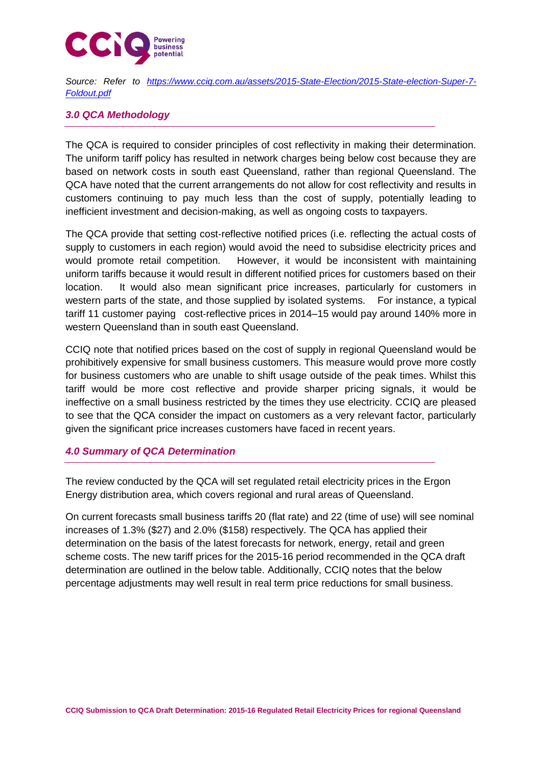

*Source: Refer to [https://www.cciq.com.au/assets/2015-State-Election/2015-State-election-Super-7-](https://www.cciq.com.au/assets/2015-State-Election/2015-State-election-Super-7-Foldout.pdf) [Foldout.pdf](https://www.cciq.com.au/assets/2015-State-Election/2015-State-election-Super-7-Foldout.pdf)*

## *3.0 QCA Methodology*

The QCA is required to consider principles of cost reflectivity in making their determination. The uniform tariff policy has resulted in network charges being below cost because they are based on network costs in south east Queensland, rather than regional Queensland. The QCA have noted that the current arrangements do not allow for cost reflectivity and results in customers continuing to pay much less than the cost of supply, potentially leading to inefficient investment and decision-making, as well as ongoing costs to taxpayers.

The QCA provide that setting cost-reflective notified prices (i.e. reflecting the actual costs of supply to customers in each region) would avoid the need to subsidise electricity prices and would promote retail competition. However, it would be inconsistent with maintaining uniform tariffs because it would result in different notified prices for customers based on their location. It would also mean significant price increases, particularly for customers in western parts of the state, and those supplied by isolated systems. For instance, a typical tariff 11 customer paying cost-reflective prices in 2014–15 would pay around 140% more in western Queensland than in south east Queensland.

CCIQ note that notified prices based on the cost of supply in regional Queensland would be prohibitively expensive for small business customers. This measure would prove more costly for business customers who are unable to shift usage outside of the peak times. Whilst this tariff would be more cost reflective and provide sharper pricing signals, it would be ineffective on a small business restricted by the times they use electricity. CCIQ are pleased to see that the QCA consider the impact on customers as a very relevant factor, particularly given the significant price increases customers have faced in recent years.

#### *4.0 Summary of QCA Determination*

The review conducted by the QCA will set regulated retail electricity prices in the Ergon Energy distribution area, which covers regional and rural areas of Queensland.

On current forecasts small business tariffs 20 (flat rate) and 22 (time of use) will see nominal increases of 1.3% (\$27) and 2.0% (\$158) respectively. The QCA has applied their determination on the basis of the latest forecasts for network, energy, retail and green scheme costs. The new tariff prices for the 2015-16 period recommended in the QCA draft determination are outlined in the below table. Additionally, CCIQ notes that the below percentage adjustments may well result in real term price reductions for small business.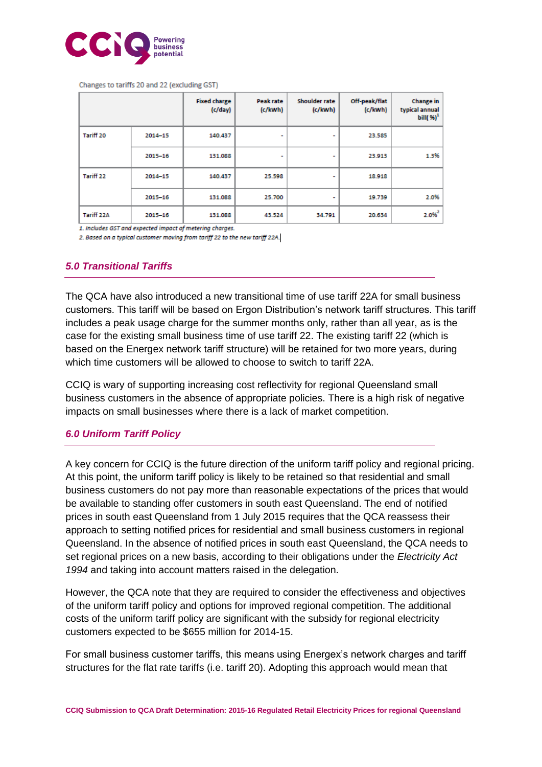

Changes to tariffs 20 and 22 (excluding GST)

|            |         | <b>Fixed charge</b><br>(c/day) | Peak rate<br>(c/kWh) | Shoulder rate<br>(c/kwh) | Off-peak/flat<br>(c/kwh) | <b>Change</b> in<br>typical annual<br>bill( $\%$ ) <sup>1</sup> |
|------------|---------|--------------------------------|----------------------|--------------------------|--------------------------|-----------------------------------------------------------------|
| Tariff 20  | 2014-15 | 140.437                        |                      | ٠                        | 23.585                   |                                                                 |
|            | 2015-16 | 131.088                        | ۰                    | ۰                        | 23.913                   | 1.3%                                                            |
| Tariff 22  | 2014-15 | 140.437                        | 25.598               | ٠                        | 18.918                   |                                                                 |
|            | 2015-16 | 131.088                        | 25.700               |                          | 19.739                   | 2.0%                                                            |
| Tariff 22A | 2015-16 | 131.088                        | 43.524               | 34.791                   | 20.634                   | $2.0%^{2}$                                                      |

1. Includes GST and expected impact of metering charges.

2. Based on a typical customer moving from tariff 22 to the new tariff 22A.

### *5.0 Transitional Tariffs*

The QCA have also introduced a new transitional time of use tariff 22A for small business customers. This tariff will be based on Ergon Distribution's network tariff structures. This tariff includes a peak usage charge for the summer months only, rather than all year, as is the case for the existing small business time of use tariff 22. The existing tariff 22 (which is based on the Energex network tariff structure) will be retained for two more years, during which time customers will be allowed to choose to switch to tariff 22A.

CCIQ is wary of supporting increasing cost reflectivity for regional Queensland small business customers in the absence of appropriate policies. There is a high risk of negative impacts on small businesses where there is a lack of market competition.

#### *6.0 Uniform Tariff Policy*

A key concern for CCIQ is the future direction of the uniform tariff policy and regional pricing. At this point, the uniform tariff policy is likely to be retained so that residential and small business customers do not pay more than reasonable expectations of the prices that would be available to standing offer customers in south east Queensland. The end of notified prices in south east Queensland from 1 July 2015 requires that the QCA reassess their approach to setting notified prices for residential and small business customers in regional Queensland. In the absence of notified prices in south east Queensland, the QCA needs to set regional prices on a new basis, according to their obligations under the *Electricity Act 1994* and taking into account matters raised in the delegation.

However, the QCA note that they are required to consider the effectiveness and objectives of the uniform tariff policy and options for improved regional competition. The additional costs of the uniform tariff policy are significant with the subsidy for regional electricity customers expected to be \$655 million for 2014-15.

For small business customer tariffs, this means using Energex's network charges and tariff structures for the flat rate tariffs (i.e. tariff 20). Adopting this approach would mean that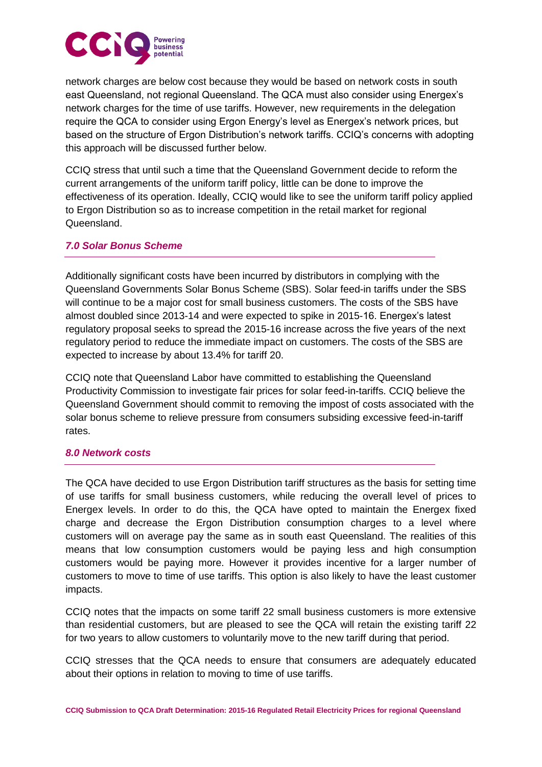

network charges are below cost because they would be based on network costs in south east Queensland, not regional Queensland. The QCA must also consider using Energex's network charges for the time of use tariffs. However, new requirements in the delegation require the QCA to consider using Ergon Energy's level as Energex's network prices, but based on the structure of Ergon Distribution's network tariffs. CCIQ's concerns with adopting this approach will be discussed further below.

CCIQ stress that until such a time that the Queensland Government decide to reform the current arrangements of the uniform tariff policy, little can be done to improve the effectiveness of its operation. Ideally, CCIQ would like to see the uniform tariff policy applied to Ergon Distribution so as to increase competition in the retail market for regional Queensland.

## *7.0 Solar Bonus Scheme*

Additionally significant costs have been incurred by distributors in complying with the Queensland Governments Solar Bonus Scheme (SBS). Solar feed-in tariffs under the SBS will continue to be a major cost for small business customers. The costs of the SBS have almost doubled since 2013-14 and were expected to spike in 2015-16. Energex's latest regulatory proposal seeks to spread the 2015-16 increase across the five years of the next regulatory period to reduce the immediate impact on customers. The costs of the SBS are expected to increase by about 13.4% for tariff 20.

CCIQ note that Queensland Labor have committed to establishing the Queensland Productivity Commission to investigate fair prices for solar feed-in-tariffs. CCIQ believe the Queensland Government should commit to removing the impost of costs associated with the solar bonus scheme to relieve pressure from consumers subsiding excessive feed-in-tariff rates.

## *8.0 Network costs*

The QCA have decided to use Ergon Distribution tariff structures as the basis for setting time of use tariffs for small business customers, while reducing the overall level of prices to Energex levels. In order to do this, the QCA have opted to maintain the Energex fixed charge and decrease the Ergon Distribution consumption charges to a level where customers will on average pay the same as in south east Queensland. The realities of this means that low consumption customers would be paying less and high consumption customers would be paying more. However it provides incentive for a larger number of customers to move to time of use tariffs. This option is also likely to have the least customer impacts.

CCIQ notes that the impacts on some tariff 22 small business customers is more extensive than residential customers, but are pleased to see the QCA will retain the existing tariff 22 for two years to allow customers to voluntarily move to the new tariff during that period.

CCIQ stresses that the QCA needs to ensure that consumers are adequately educated about their options in relation to moving to time of use tariffs.